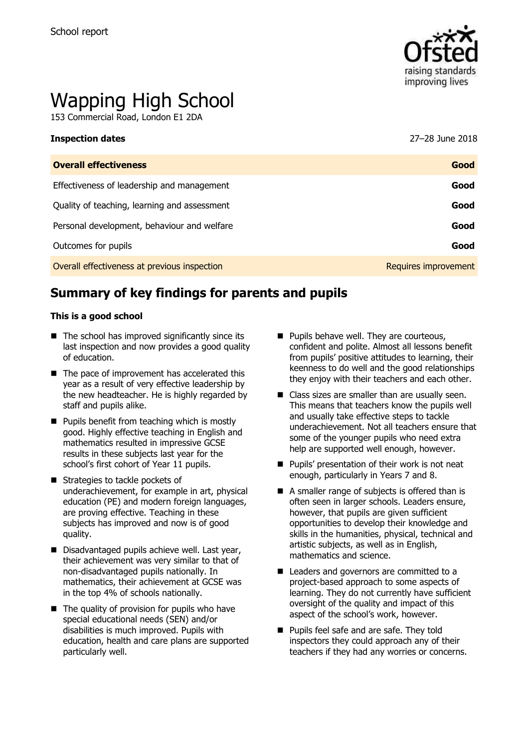

# Wapping High School

153 Commercial Road, London E1 2DA

| <b>Inspection dates</b>                      | 27–28 June 2018      |
|----------------------------------------------|----------------------|
| <b>Overall effectiveness</b>                 | Good                 |
| Effectiveness of leadership and management   | Good                 |
| Quality of teaching, learning and assessment | Good                 |
| Personal development, behaviour and welfare  | Good                 |
| Outcomes for pupils                          | Good                 |
| Overall effectiveness at previous inspection | Requires improvement |

# **Summary of key findings for parents and pupils**

#### **This is a good school**

- $\blacksquare$  The school has improved significantly since its last inspection and now provides a good quality of education.
- $\blacksquare$  The pace of improvement has accelerated this year as a result of very effective leadership by the new headteacher. He is highly regarded by staff and pupils alike.
- $\blacksquare$  Pupils benefit from teaching which is mostly good. Highly effective teaching in English and mathematics resulted in impressive GCSE results in these subjects last year for the school's first cohort of Year 11 pupils.
- **Strategies to tackle pockets of** underachievement, for example in art, physical education (PE) and modern foreign languages, are proving effective. Teaching in these subjects has improved and now is of good quality.
- Disadvantaged pupils achieve well. Last year, their achievement was very similar to that of non-disadvantaged pupils nationally. In mathematics, their achievement at GCSE was in the top 4% of schools nationally.
- $\blacksquare$  The quality of provision for pupils who have special educational needs (SEN) and/or disabilities is much improved. Pupils with education, health and care plans are supported particularly well.
- **Pupils behave well. They are courteous,** confident and polite. Almost all lessons benefit from pupils' positive attitudes to learning, their keenness to do well and the good relationships they enjoy with their teachers and each other.
- Class sizes are smaller than are usually seen. This means that teachers know the pupils well and usually take effective steps to tackle underachievement. Not all teachers ensure that some of the younger pupils who need extra help are supported well enough, however.
- **Pupils' presentation of their work is not neat** enough, particularly in Years 7 and 8.
- A smaller range of subjects is offered than is often seen in larger schools. Leaders ensure, however, that pupils are given sufficient opportunities to develop their knowledge and skills in the humanities, physical, technical and artistic subjects, as well as in English, mathematics and science.
- Leaders and governors are committed to a project-based approach to some aspects of learning. They do not currently have sufficient oversight of the quality and impact of this aspect of the school's work, however.
- Pupils feel safe and are safe. They told inspectors they could approach any of their teachers if they had any worries or concerns.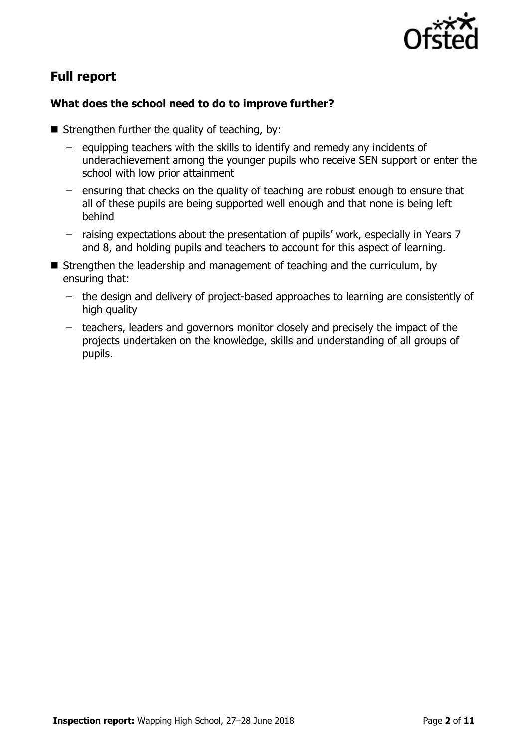

# **Full report**

### **What does the school need to do to improve further?**

- $\blacksquare$  Strengthen further the quality of teaching, by:
	- equipping teachers with the skills to identify and remedy any incidents of underachievement among the younger pupils who receive SEN support or enter the school with low prior attainment
	- ensuring that checks on the quality of teaching are robust enough to ensure that all of these pupils are being supported well enough and that none is being left behind
	- raising expectations about the presentation of pupils' work, especially in Years 7 and 8, and holding pupils and teachers to account for this aspect of learning.
- Strengthen the leadership and management of teaching and the curriculum, by ensuring that:
	- the design and delivery of project-based approaches to learning are consistently of high quality
	- teachers, leaders and governors monitor closely and precisely the impact of the projects undertaken on the knowledge, skills and understanding of all groups of pupils.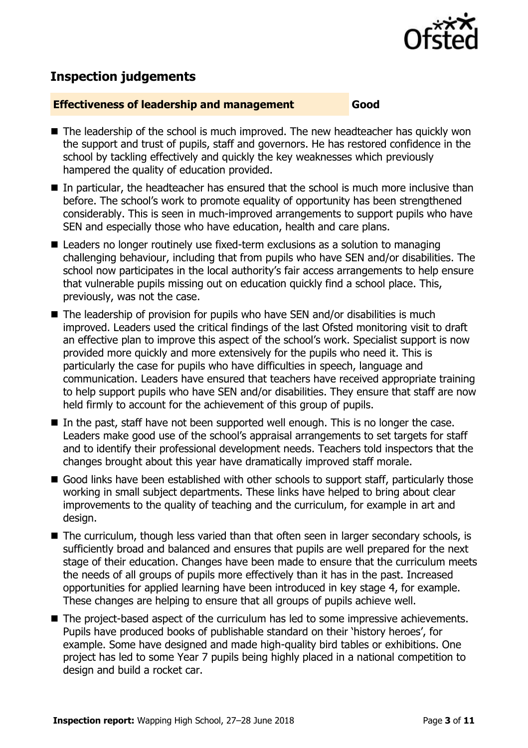

# **Inspection judgements**

#### **Effectiveness of leadership and management Good**

- The leadership of the school is much improved. The new headteacher has quickly won the support and trust of pupils, staff and governors. He has restored confidence in the school by tackling effectively and quickly the key weaknesses which previously hampered the quality of education provided.
- In particular, the headteacher has ensured that the school is much more inclusive than before. The school's work to promote equality of opportunity has been strengthened considerably. This is seen in much-improved arrangements to support pupils who have SEN and especially those who have education, health and care plans.
- Leaders no longer routinely use fixed-term exclusions as a solution to managing challenging behaviour, including that from pupils who have SEN and/or disabilities. The school now participates in the local authority's fair access arrangements to help ensure that vulnerable pupils missing out on education quickly find a school place. This, previously, was not the case.
- $\blacksquare$  The leadership of provision for pupils who have SEN and/or disabilities is much improved. Leaders used the critical findings of the last Ofsted monitoring visit to draft an effective plan to improve this aspect of the school's work. Specialist support is now provided more quickly and more extensively for the pupils who need it. This is particularly the case for pupils who have difficulties in speech, language and communication. Leaders have ensured that teachers have received appropriate training to help support pupils who have SEN and/or disabilities. They ensure that staff are now held firmly to account for the achievement of this group of pupils.
- In the past, staff have not been supported well enough. This is no longer the case. Leaders make good use of the school's appraisal arrangements to set targets for staff and to identify their professional development needs. Teachers told inspectors that the changes brought about this year have dramatically improved staff morale.
- Good links have been established with other schools to support staff, particularly those working in small subject departments. These links have helped to bring about clear improvements to the quality of teaching and the curriculum, for example in art and design.
- The curriculum, though less varied than that often seen in larger secondary schools, is sufficiently broad and balanced and ensures that pupils are well prepared for the next stage of their education. Changes have been made to ensure that the curriculum meets the needs of all groups of pupils more effectively than it has in the past. Increased opportunities for applied learning have been introduced in key stage 4, for example. These changes are helping to ensure that all groups of pupils achieve well.
- The project-based aspect of the curriculum has led to some impressive achievements. Pupils have produced books of publishable standard on their 'history heroes', for example. Some have designed and made high-quality bird tables or exhibitions. One project has led to some Year 7 pupils being highly placed in a national competition to design and build a rocket car.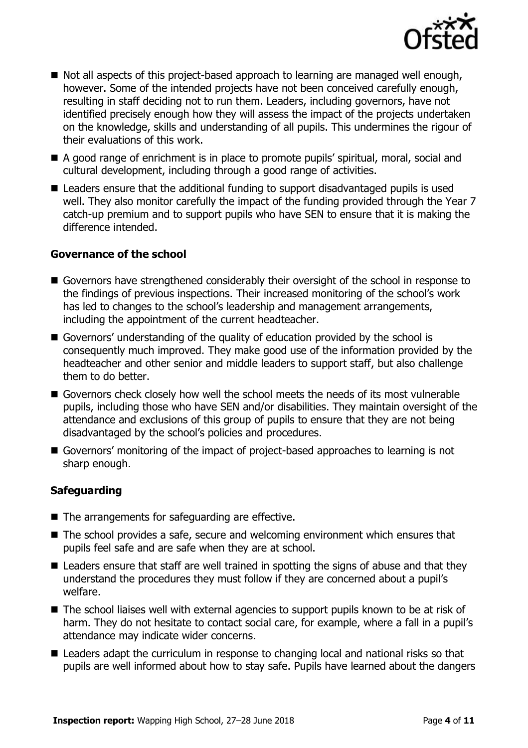

- Not all aspects of this project-based approach to learning are managed well enough, however. Some of the intended projects have not been conceived carefully enough, resulting in staff deciding not to run them. Leaders, including governors, have not identified precisely enough how they will assess the impact of the projects undertaken on the knowledge, skills and understanding of all pupils. This undermines the rigour of their evaluations of this work.
- A good range of enrichment is in place to promote pupils' spiritual, moral, social and cultural development, including through a good range of activities.
- Leaders ensure that the additional funding to support disadvantaged pupils is used well. They also monitor carefully the impact of the funding provided through the Year 7 catch-up premium and to support pupils who have SEN to ensure that it is making the difference intended.

#### **Governance of the school**

- Governors have strengthened considerably their oversight of the school in response to the findings of previous inspections. Their increased monitoring of the school's work has led to changes to the school's leadership and management arrangements, including the appointment of the current headteacher.
- Governors' understanding of the quality of education provided by the school is consequently much improved. They make good use of the information provided by the headteacher and other senior and middle leaders to support staff, but also challenge them to do better.
- Governors check closely how well the school meets the needs of its most vulnerable pupils, including those who have SEN and/or disabilities. They maintain oversight of the attendance and exclusions of this group of pupils to ensure that they are not being disadvantaged by the school's policies and procedures.
- Governors' monitoring of the impact of project-based approaches to learning is not sharp enough.

#### **Safeguarding**

- The arrangements for safeguarding are effective.
- The school provides a safe, secure and welcoming environment which ensures that pupils feel safe and are safe when they are at school.
- Leaders ensure that staff are well trained in spotting the signs of abuse and that they understand the procedures they must follow if they are concerned about a pupil's welfare.
- The school liaises well with external agencies to support pupils known to be at risk of harm. They do not hesitate to contact social care, for example, where a fall in a pupil's attendance may indicate wider concerns.
- Leaders adapt the curriculum in response to changing local and national risks so that pupils are well informed about how to stay safe. Pupils have learned about the dangers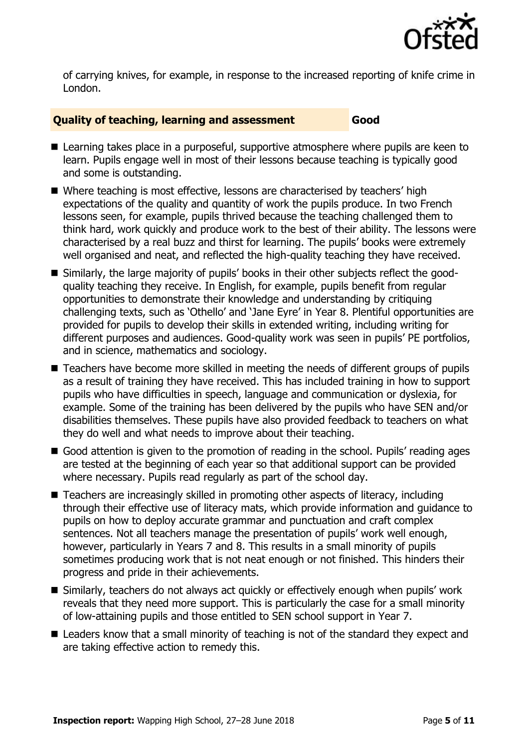

of carrying knives, for example, in response to the increased reporting of knife crime in London.

#### **Quality of teaching, learning and assessment Good**

- Learning takes place in a purposeful, supportive atmosphere where pupils are keen to learn. Pupils engage well in most of their lessons because teaching is typically good and some is outstanding.
- Where teaching is most effective, lessons are characterised by teachers' high expectations of the quality and quantity of work the pupils produce. In two French lessons seen, for example, pupils thrived because the teaching challenged them to think hard, work quickly and produce work to the best of their ability. The lessons were characterised by a real buzz and thirst for learning. The pupils' books were extremely well organised and neat, and reflected the high-quality teaching they have received.
- Similarly, the large majority of pupils' books in their other subjects reflect the goodquality teaching they receive. In English, for example, pupils benefit from regular opportunities to demonstrate their knowledge and understanding by critiquing challenging texts, such as 'Othello' and 'Jane Eyre' in Year 8. Plentiful opportunities are provided for pupils to develop their skills in extended writing, including writing for different purposes and audiences. Good-quality work was seen in pupils' PE portfolios, and in science, mathematics and sociology.
- Teachers have become more skilled in meeting the needs of different groups of pupils as a result of training they have received. This has included training in how to support pupils who have difficulties in speech, language and communication or dyslexia, for example. Some of the training has been delivered by the pupils who have SEN and/or disabilities themselves. These pupils have also provided feedback to teachers on what they do well and what needs to improve about their teaching.
- Good attention is given to the promotion of reading in the school. Pupils' reading ages are tested at the beginning of each year so that additional support can be provided where necessary. Pupils read regularly as part of the school day.
- Teachers are increasingly skilled in promoting other aspects of literacy, including through their effective use of literacy mats, which provide information and guidance to pupils on how to deploy accurate grammar and punctuation and craft complex sentences. Not all teachers manage the presentation of pupils' work well enough, however, particularly in Years 7 and 8. This results in a small minority of pupils sometimes producing work that is not neat enough or not finished. This hinders their progress and pride in their achievements.
- Similarly, teachers do not always act quickly or effectively enough when pupils' work reveals that they need more support. This is particularly the case for a small minority of low-attaining pupils and those entitled to SEN school support in Year 7.
- Leaders know that a small minority of teaching is not of the standard they expect and are taking effective action to remedy this.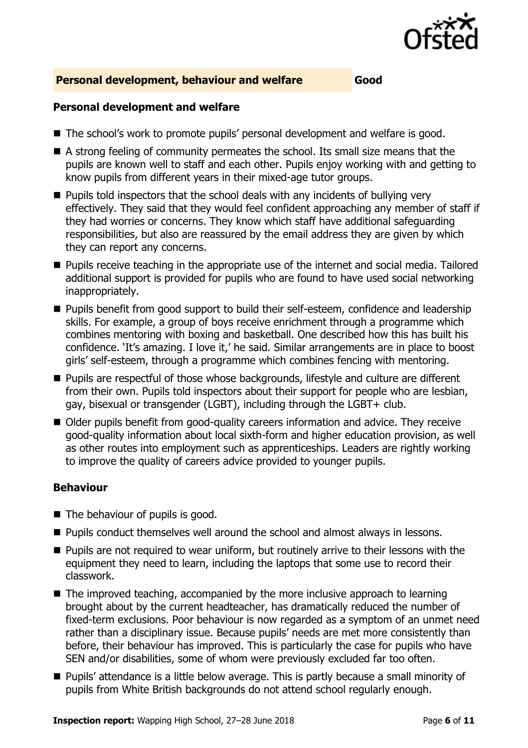

#### **Personal development, behaviour and welfare Good**

#### **Personal development and welfare**

- The school's work to promote pupils' personal development and welfare is good.
- A strong feeling of community permeates the school. Its small size means that the pupils are known well to staff and each other. Pupils enjoy working with and getting to know pupils from different years in their mixed-age tutor groups.
- $\blacksquare$  Pupils told inspectors that the school deals with any incidents of bullying very effectively. They said that they would feel confident approaching any member of staff if they had worries or concerns. They know which staff have additional safeguarding responsibilities, but also are reassured by the email address they are given by which they can report any concerns.
- Pupils receive teaching in the appropriate use of the internet and social media. Tailored additional support is provided for pupils who are found to have used social networking inappropriately.
- **Pupils benefit from good support to build their self-esteem, confidence and leadership** skills. For example, a group of boys receive enrichment through a programme which combines mentoring with boxing and basketball. One described how this has built his confidence. 'It's amazing. I love it,' he said. Similar arrangements are in place to boost girls' self-esteem, through a programme which combines fencing with mentoring.
- Pupils are respectful of those whose backgrounds, lifestyle and culture are different from their own. Pupils told inspectors about their support for people who are lesbian, gay, bisexual or transgender (LGBT), including through the LGBT+ club.
- Older pupils benefit from good-quality careers information and advice. They receive good-quality information about local sixth-form and higher education provision, as well as other routes into employment such as apprenticeships. Leaders are rightly working to improve the quality of careers advice provided to younger pupils.

#### **Behaviour**

- The behaviour of pupils is good.
- Pupils conduct themselves well around the school and almost always in lessons.
- **Pupils are not required to wear uniform, but routinely arrive to their lessons with the** equipment they need to learn, including the laptops that some use to record their classwork.
- $\blacksquare$  The improved teaching, accompanied by the more inclusive approach to learning brought about by the current headteacher, has dramatically reduced the number of fixed-term exclusions. Poor behaviour is now regarded as a symptom of an unmet need rather than a disciplinary issue. Because pupils' needs are met more consistently than before, their behaviour has improved. This is particularly the case for pupils who have SEN and/or disabilities, some of whom were previously excluded far too often.
- **Pupils'** attendance is a little below average. This is partly because a small minority of pupils from White British backgrounds do not attend school regularly enough.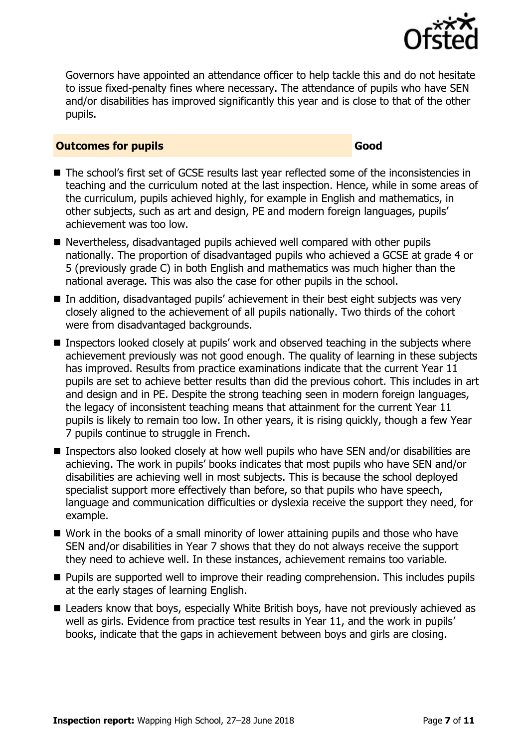

Governors have appointed an attendance officer to help tackle this and do not hesitate to issue fixed-penalty fines where necessary. The attendance of pupils who have SEN and/or disabilities has improved significantly this year and is close to that of the other pupils.

#### **Outcomes for pupils Good Good**

- The school's first set of GCSE results last year reflected some of the inconsistencies in teaching and the curriculum noted at the last inspection. Hence, while in some areas of the curriculum, pupils achieved highly, for example in English and mathematics, in other subjects, such as art and design, PE and modern foreign languages, pupils' achievement was too low.
- Nevertheless, disadvantaged pupils achieved well compared with other pupils nationally. The proportion of disadvantaged pupils who achieved a GCSE at grade 4 or 5 (previously grade C) in both English and mathematics was much higher than the national average. This was also the case for other pupils in the school.
- In addition, disadvantaged pupils' achievement in their best eight subjects was very closely aligned to the achievement of all pupils nationally. Two thirds of the cohort were from disadvantaged backgrounds.
- Inspectors looked closely at pupils' work and observed teaching in the subjects where achievement previously was not good enough. The quality of learning in these subjects has improved. Results from practice examinations indicate that the current Year 11 pupils are set to achieve better results than did the previous cohort. This includes in art and design and in PE. Despite the strong teaching seen in modern foreign languages, the legacy of inconsistent teaching means that attainment for the current Year 11 pupils is likely to remain too low. In other years, it is rising quickly, though a few Year 7 pupils continue to struggle in French.
- Inspectors also looked closely at how well pupils who have SEN and/or disabilities are achieving. The work in pupils' books indicates that most pupils who have SEN and/or disabilities are achieving well in most subjects. This is because the school deployed specialist support more effectively than before, so that pupils who have speech, language and communication difficulties or dyslexia receive the support they need, for example.
- Work in the books of a small minority of lower attaining pupils and those who have SEN and/or disabilities in Year 7 shows that they do not always receive the support they need to achieve well. In these instances, achievement remains too variable.
- **Pupils are supported well to improve their reading comprehension. This includes pupils** at the early stages of learning English.
- Leaders know that boys, especially White British boys, have not previously achieved as well as girls. Evidence from practice test results in Year 11, and the work in pupils' books, indicate that the gaps in achievement between boys and girls are closing.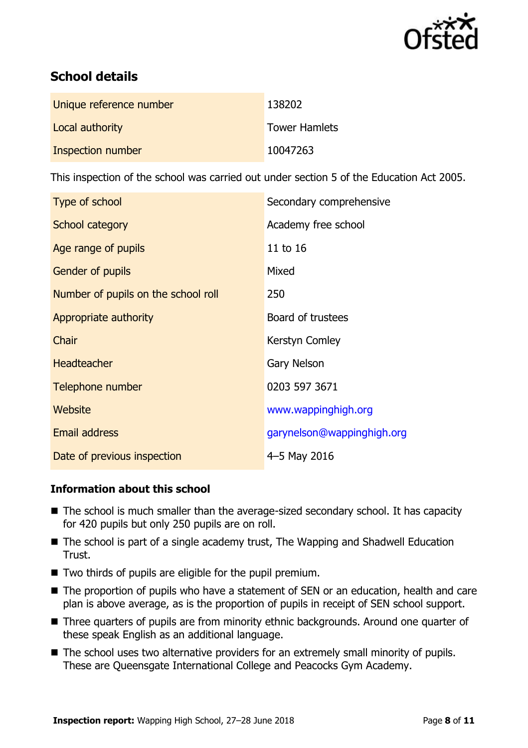

# **School details**

| Unique reference number | 138202               |
|-------------------------|----------------------|
| Local authority         | <b>Tower Hamlets</b> |
| Inspection number       | 10047263             |

This inspection of the school was carried out under section 5 of the Education Act 2005.

| Type of school                      | Secondary comprehensive    |
|-------------------------------------|----------------------------|
| School category                     | Academy free school        |
| Age range of pupils                 | 11 to 16                   |
| <b>Gender of pupils</b>             | Mixed                      |
| Number of pupils on the school roll | 250                        |
| Appropriate authority               | Board of trustees          |
| Chair                               | Kerstyn Comley             |
| <b>Headteacher</b>                  | <b>Gary Nelson</b>         |
| Telephone number                    | 0203 597 3671              |
| Website                             | www.wappinghigh.org        |
| <b>Email address</b>                | garynelson@wappinghigh.org |
| Date of previous inspection         | 4-5 May 2016               |

### **Information about this school**

- The school is much smaller than the average-sized secondary school. It has capacity for 420 pupils but only 250 pupils are on roll.
- The school is part of a single academy trust, The Wapping and Shadwell Education Trust.
- Two thirds of pupils are eligible for the pupil premium.
- The proportion of pupils who have a statement of SEN or an education, health and care plan is above average, as is the proportion of pupils in receipt of SEN school support.
- Three quarters of pupils are from minority ethnic backgrounds. Around one quarter of these speak English as an additional language.
- The school uses two alternative providers for an extremely small minority of pupils. These are Queensgate International College and Peacocks Gym Academy.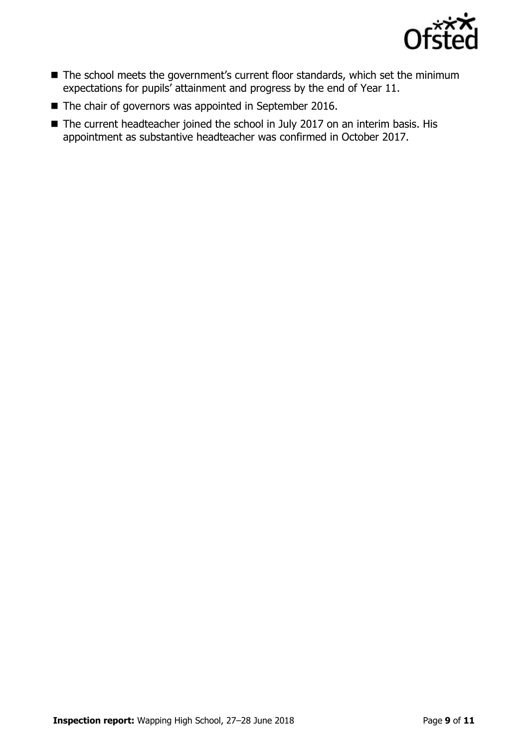

- The school meets the government's current floor standards, which set the minimum expectations for pupils' attainment and progress by the end of Year 11.
- The chair of governors was appointed in September 2016.
- The current headteacher joined the school in July 2017 on an interim basis. His appointment as substantive headteacher was confirmed in October 2017.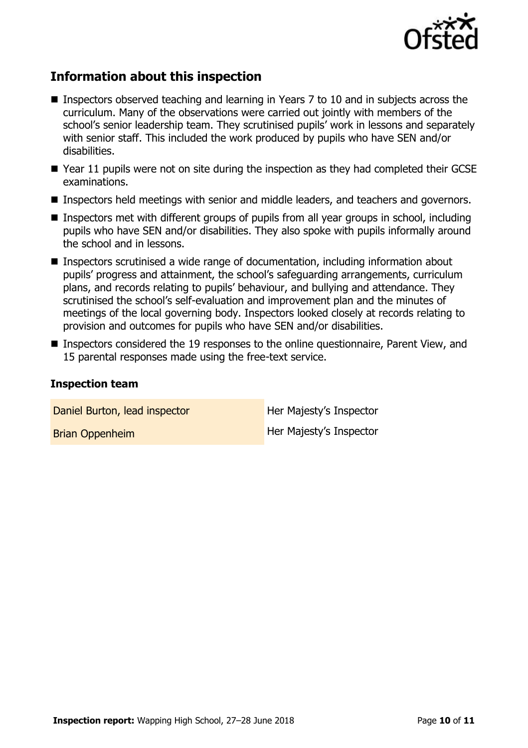

# **Information about this inspection**

- Inspectors observed teaching and learning in Years 7 to 10 and in subjects across the curriculum. Many of the observations were carried out jointly with members of the school's senior leadership team. They scrutinised pupils' work in lessons and separately with senior staff. This included the work produced by pupils who have SEN and/or disabilities.
- Year 11 pupils were not on site during the inspection as they had completed their GCSE examinations.
- **Inspectors held meetings with senior and middle leaders, and teachers and governors.**
- Inspectors met with different groups of pupils from all year groups in school, including pupils who have SEN and/or disabilities. They also spoke with pupils informally around the school and in lessons.
- Inspectors scrutinised a wide range of documentation, including information about pupils' progress and attainment, the school's safeguarding arrangements, curriculum plans, and records relating to pupils' behaviour, and bullying and attendance. They scrutinised the school's self-evaluation and improvement plan and the minutes of meetings of the local governing body. Inspectors looked closely at records relating to provision and outcomes for pupils who have SEN and/or disabilities.
- Inspectors considered the 19 responses to the online questionnaire, Parent View, and 15 parental responses made using the free-text service.

#### **Inspection team**

Daniel Burton, lead inspector **Her Majesty's Inspector** Brian Oppenheim Her Majesty's Inspector